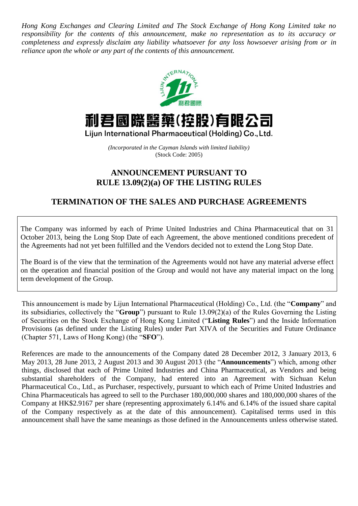*Hong Kong Exchanges and Clearing Limited and The Stock Exchange of Hong Kong Limited take no responsibility for the contents of this announcement, make no representation as to its accuracy or completeness and expressly disclaim any liability whatsoever for any loss howsoever arising from or in reliance upon the whole or any part of the contents of this announcement.*



## 利君國際醫藥(控股)有眼公司

Lijun International Pharmaceutical (Holding) Co., Ltd.

*(Incorporated in the Cayman Islands with limited liability)* (Stock Code: 2005)

## **ANNOUNCEMENT PURSUANT TO RULE 13.09(2)(a) OF THE LISTING RULES**

## **TERMINATION OF THE SALES AND PURCHASE AGREEMENTS**

The Company was informed by each of Prime United Industries and China Pharmaceutical that on 31 October 2013, being the Long Stop Date of each Agreement, the above mentioned conditions precedent of the Agreements had not yet been fulfilled and the Vendors decided not to extend the Long Stop Date.

The Board is of the view that the termination of the Agreements would not have any material adverse effect on the operation and financial position of the Group and would not have any material impact on the long term development of the Group.

This announcement is made by Lijun International Pharmaceutical (Holding) Co., Ltd. (the "**Company**" and its subsidiaries, collectively the "**Group**") pursuant to Rule 13.09(2)(a) of the Rules Governing the Listing of Securities on the Stock Exchange of Hong Kong Limited ("**Listing Rules**") and the Inside Information Provisions (as defined under the Listing Rules) under Part XIVA of the Securities and Future Ordinance (Chapter 571, Laws of Hong Kong) (the "**SFO**").

References are made to the announcements of the Company dated 28 December 2012, 3 January 2013, 6 May 2013, 28 June 2013, 2 August 2013 and 30 August 2013 (the "**Announcements**") which, among other things, disclosed that each of Prime United Industries and China Pharmaceutical, as Vendors and being substantial shareholders of the Company, had entered into an Agreement with Sichuan Kelun Pharmaceutical Co., Ltd., as Purchaser, respectively, pursuant to which each of Prime United Industries and China Pharmaceuticals has agreed to sell to the Purchaser 180,000,000 shares and 180,000,000 shares of the Company at HK\$2.9167 per share (representing approximately 6.14% and 6.14% of the issued share capital of the Company respectively as at the date of this announcement). Capitalised terms used in this announcement shall have the same meanings as those defined in the Announcements unless otherwise stated.